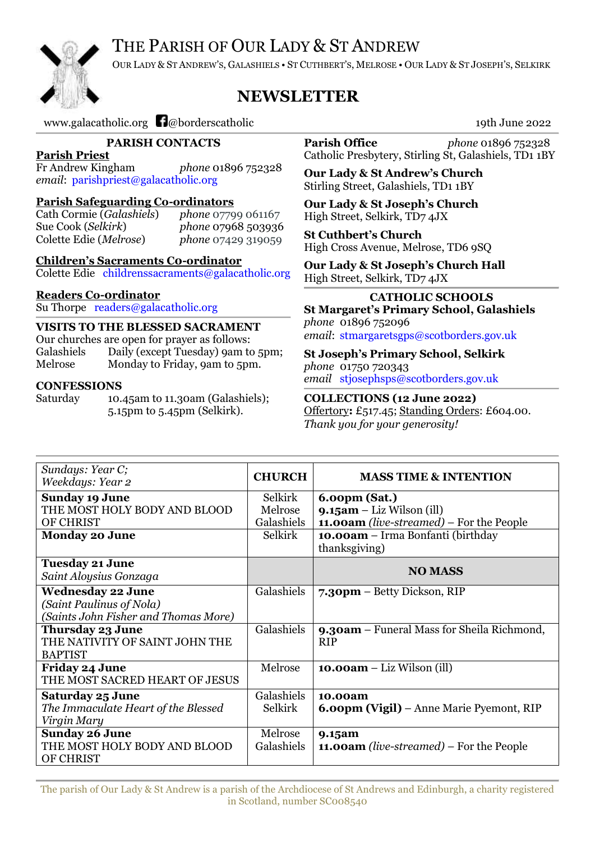# THE PARISH OF OUR LADY & ST ANDREW



OUR LADY & ST ANDREW'S, GALASHIELS • ST CUTHBERT'S, MELROSE • OUR LADY & ST JOSEPH'S, SELKIRK

# **NEWSLETTER**

[www.galacatholic.org](http://www.galacatholic.org/)  $\Box$  deborderscatholic 19th June 2022

**PARISH CONTACTS**

**Parish Priest**

Fr Andrew Kingham *phone* 01896 752328 *email*: [parishpriest@galacatholic.org](mailto:parishpriest@galacatholic.org)

#### **Parish Safeguarding Co-ordinators**

Cath Cormie (*Galashiels*) *phone* 07799 061167 Sue Cook (*Selkirk*) *phone* 07968 503936 Colette Edie (*Melrose*) *phone* 07429 319059

**Children's Sacraments C0-ordinator** Colette Edie [childrenssacraments@galacatholic.org](mailto:childrenssacraments@galacatholic.org)

#### **Readers Co-0rdinator**

Su Thorpe [readers@galacatholic.org](file:///C:/Users/bobbyloon/Documents/Newsletter/readers@galacatholic.org)

#### **VISITS TO THE BLESSED SACRAMENT**

Our churches are open for prayer as follows: Galashiels Daily (except Tuesday) 9am to 5pm; Melrose Monday to Friday, 9am to 5pm.

#### **CONFESSIONS**

Saturday 10.45am to 11.30am (Galashiels); 5.15pm to 5.45pm (Selkirk).

**Parish Office** *phone* 01896 752328 Catholic Presbytery, Stirling St, Galashiels, TD1 1BY

**Our Lady & St Andrew's Church** Stirling Street, Galashiels, TD1 1BY

**Our Lady & St Joseph's Church** High Street, Selkirk, TD7 4JX

**St Cuthbert's Church** High Cross Avenue, Melrose, TD6 9SQ

**Our Lady & St Joseph's Church Hall** High Street, Selkirk, TD7 4JX

**CATHOLIC SCHOOLS St Margaret's Primary School, Galashiels** *phone* 01896 752096

*email*: [stmargaretsgps@scotborders.gov.uk](mailto:stmargaretsgps@scotborders.gov.uk)

**St Joseph's Primary School, Selkirk** *phone* 01750 720343 *email* [stjosephsps@scotborders.gov.uk](mailto:stjosephsps@scotborders.gov.uk)

**COLLECTIONS (12 June 2022)** Offertory**:** £517.45; Standing Orders: £604.00. *Thank you for your generosity!*

| Sundays: Year C;<br>Weekdays: Year 2                                                         | <b>CHURCH</b>                               | <b>MASS TIME &amp; INTENTION</b>                                                                                                                      |
|----------------------------------------------------------------------------------------------|---------------------------------------------|-------------------------------------------------------------------------------------------------------------------------------------------------------|
| <b>Sunday 19 June</b><br>THE MOST HOLY BODY AND BLOOD<br>OF CHRIST<br><b>Monday 20 June</b>  | Selkirk<br>Melrose<br>Galashiels<br>Selkirk | 6.00pm (Sat.)<br>$9.15am - Liz Wilson (ill)$<br><b>11.00am</b> (live-streamed) – For the People<br>10.00am – Irma Bonfanti (birthday<br>thanksgiving) |
| <b>Tuesday 21 June</b><br>Saint Aloysius Gonzaga                                             |                                             | <b>NO MASS</b>                                                                                                                                        |
| <b>Wednesday 22 June</b><br>(Saint Paulinus of Nola)<br>(Saints John Fisher and Thomas More) | Galashiels                                  | 7.30pm - Betty Dickson, RIP                                                                                                                           |
| Thursday 23 June<br>THE NATIVITY OF SAINT JOHN THE<br><b>BAPTIST</b>                         | Galashiels                                  | <b>9.30am</b> – Funeral Mass for Sheila Richmond,<br><b>RIP</b>                                                                                       |
| <b>Friday 24 June</b><br>THE MOST SACRED HEART OF JESUS                                      | Melrose                                     | $10.00am - Liz Wilson (ill)$                                                                                                                          |
| <b>Saturday 25 June</b><br>The Immaculate Heart of the Blessed<br>Virgin Mary                | Galashiels<br>Selkirk                       | 10.00am<br><b>6.00pm (Vigil)</b> – Anne Marie Pyemont, RIP                                                                                            |
| <b>Sunday 26 June</b><br>THE MOST HOLY BODY AND BLOOD<br><b>OF CHRIST</b>                    | Melrose<br>Galashiels                       | 9.15am<br><b>11.00am</b> (live-streamed) – For the People                                                                                             |

The parish of Our Lady & St Andrew is a parish of the Archdiocese of St Andrews and Edinburgh, a charity registered in Scotland, number SC008540